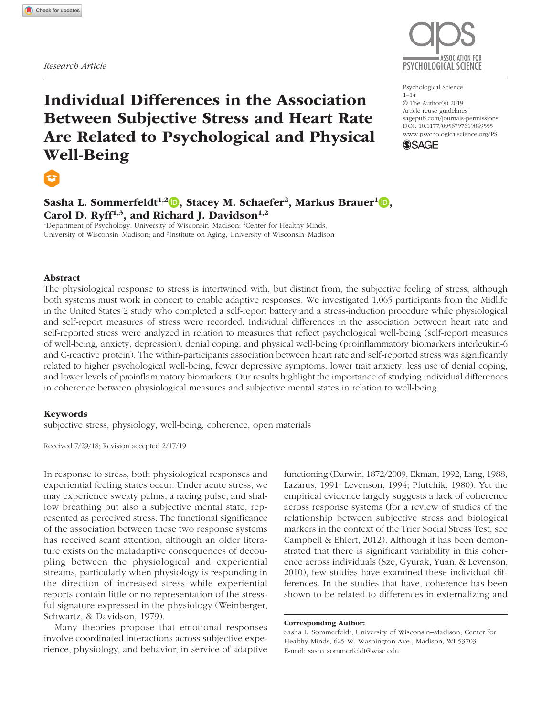# ASSOCIATION FOR *Research Article* PSYCHOLOGICAL SCIENCE

# Individual Differences in the Association Between Subjective Stress and Heart Rate Are Related to Psychological and Physical Well-Being

Psychological Science 1–14 © The Author(s) 2019 Article reuse guidelines: [sagepub.com/journals-permissions](https://sagepub.com/journals-permissions) https://doi.org/10.1177/0956797619849555 DOI: 10.1177/0956797619849555 [www.psychologicalscience.org/PS](http://www.psychologicalscience.org/ps) **SSAGE** 



Sasha L. Sommerfeldt<sup>1,2</sup> , Stacey M. Schaefer<sup>2</sup>, Markus Brauer<sup>1</sup> , Carol D. Ryff<sup>1,3</sup>, and Richard J. Davidson<sup>1,2</sup>

<sup>1</sup>Department of Psychology, University of Wisconsin-Madison; <sup>2</sup>Center for Healthy Minds, University of Wisconsin–Madison; and 3 Institute on Aging, University of Wisconsin–Madison

#### Abstract

The physiological response to stress is intertwined with, but distinct from, the subjective feeling of stress, although both systems must work in concert to enable adaptive responses. We investigated 1,065 participants from the Midlife in the United States 2 study who completed a self-report battery and a stress-induction procedure while physiological and self-report measures of stress were recorded. Individual differences in the association between heart rate and self-reported stress were analyzed in relation to measures that reflect psychological well-being (self-report measures of well-being, anxiety, depression), denial coping, and physical well-being (proinflammatory biomarkers interleukin-6 and C-reactive protein). The within-participants association between heart rate and self-reported stress was significantly related to higher psychological well-being, fewer depressive symptoms, lower trait anxiety, less use of denial coping, and lower levels of proinflammatory biomarkers. Our results highlight the importance of studying individual differences in coherence between physiological measures and subjective mental states in relation to well-being.

#### Keywords

subjective stress, physiology, well-being, coherence, open materials

Received 7/29/18; Revision accepted 2/17/19

In response to stress, both physiological responses and experiential feeling states occur. Under acute stress, we may experience sweaty palms, a racing pulse, and shallow breathing but also a subjective mental state, represented as perceived stress. The functional significance of the association between these two response systems has received scant attention, although an older literature exists on the maladaptive consequences of decoupling between the physiological and experiential streams, particularly when physiology is responding in the direction of increased stress while experiential reports contain little or no representation of the stressful signature expressed in the physiology (Weinberger, Schwartz, & Davidson, 1979).

Many theories propose that emotional responses involve coordinated interactions across subjective experience, physiology, and behavior, in service of adaptive functioning (Darwin, 1872/2009; Ekman, 1992; Lang, 1988; Lazarus, 1991; Levenson, 1994; Plutchik, 1980). Yet the empirical evidence largely suggests a lack of coherence across response systems (for a review of studies of the relationship between subjective stress and biological markers in the context of the Trier Social Stress Test, see Campbell & Ehlert, 2012). Although it has been demonstrated that there is significant variability in this coherence across individuals (Sze, Gyurak, Yuan, & Levenson, 2010), few studies have examined these individual differences. In the studies that have, coherence has been shown to be related to differences in externalizing and

#### Corresponding Author:

Sasha L. Sommerfeldt, University of Wisconsin–Madison, Center for Healthy Minds, 625 W. Washington Ave., Madison, WI 53703 E-mail: [sasha.sommerfeldt@wisc.edu](mailto:sasha.sommerfeldt@wisc.edu)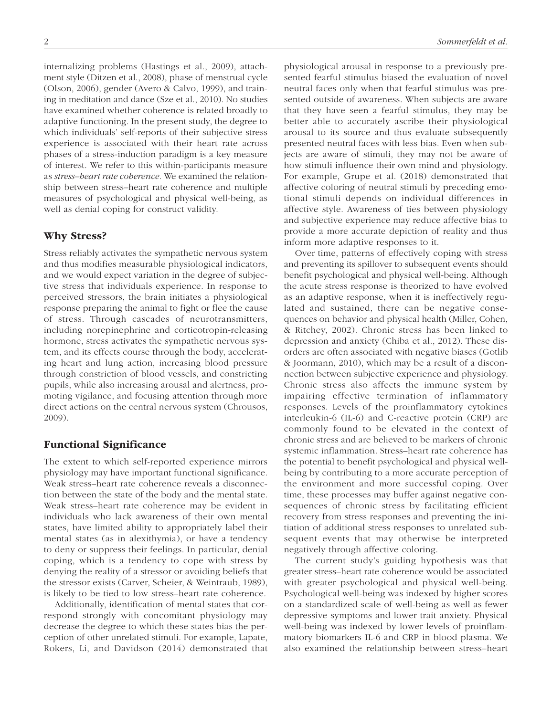internalizing problems (Hastings et al., 2009), attachment style (Ditzen et al., 2008), phase of menstrual cycle (Olson, 2006), gender (Avero & Calvo, 1999), and training in meditation and dance (Sze et al., 2010). No studies have examined whether coherence is related broadly to adaptive functioning. In the present study, the degree to which individuals' self-reports of their subjective stress experience is associated with their heart rate across phases of a stress-induction paradigm is a key measure of interest. We refer to this within-participants measure as *stress–heart rate coherence*. We examined the relationship between stress–heart rate coherence and multiple measures of psychological and physical well-being, as well as denial coping for construct validity.

#### Why Stress?

Stress reliably activates the sympathetic nervous system and thus modifies measurable physiological indicators, and we would expect variation in the degree of subjective stress that individuals experience. In response to perceived stressors, the brain initiates a physiological response preparing the animal to fight or flee the cause of stress. Through cascades of neurotransmitters, including norepinephrine and corticotropin-releasing hormone, stress activates the sympathetic nervous system, and its effects course through the body, accelerating heart and lung action, increasing blood pressure through constriction of blood vessels, and constricting pupils, while also increasing arousal and alertness, promoting vigilance, and focusing attention through more direct actions on the central nervous system (Chrousos, 2009).

# Functional Significance

The extent to which self-reported experience mirrors physiology may have important functional significance. Weak stress–heart rate coherence reveals a disconnection between the state of the body and the mental state. Weak stress–heart rate coherence may be evident in individuals who lack awareness of their own mental states, have limited ability to appropriately label their mental states (as in alexithymia), or have a tendency to deny or suppress their feelings. In particular, denial coping, which is a tendency to cope with stress by denying the reality of a stressor or avoiding beliefs that the stressor exists (Carver, Scheier, & Weintraub, 1989), is likely to be tied to low stress–heart rate coherence.

Additionally, identification of mental states that correspond strongly with concomitant physiology may decrease the degree to which these states bias the perception of other unrelated stimuli. For example, Lapate, Rokers, Li, and Davidson (2014) demonstrated that physiological arousal in response to a previously presented fearful stimulus biased the evaluation of novel neutral faces only when that fearful stimulus was presented outside of awareness. When subjects are aware that they have seen a fearful stimulus, they may be better able to accurately ascribe their physiological arousal to its source and thus evaluate subsequently presented neutral faces with less bias. Even when subjects are aware of stimuli, they may not be aware of how stimuli influence their own mind and physiology. For example, Grupe et al. (2018) demonstrated that affective coloring of neutral stimuli by preceding emotional stimuli depends on individual differences in affective style. Awareness of ties between physiology and subjective experience may reduce affective bias to provide a more accurate depiction of reality and thus inform more adaptive responses to it.

Over time, patterns of effectively coping with stress and preventing its spillover to subsequent events should benefit psychological and physical well-being. Although the acute stress response is theorized to have evolved as an adaptive response, when it is ineffectively regulated and sustained, there can be negative consequences on behavior and physical health (Miller, Cohen, & Ritchey, 2002). Chronic stress has been linked to depression and anxiety (Chiba et al., 2012). These disorders are often associated with negative biases (Gotlib & Joormann, 2010), which may be a result of a disconnection between subjective experience and physiology. Chronic stress also affects the immune system by impairing effective termination of inflammatory responses. Levels of the proinflammatory cytokines interleukin-6 (IL-6) and C-reactive protein (CRP) are commonly found to be elevated in the context of chronic stress and are believed to be markers of chronic systemic inflammation. Stress–heart rate coherence has the potential to benefit psychological and physical wellbeing by contributing to a more accurate perception of the environment and more successful coping. Over time, these processes may buffer against negative consequences of chronic stress by facilitating efficient recovery from stress responses and preventing the initiation of additional stress responses to unrelated subsequent events that may otherwise be interpreted negatively through affective coloring.

The current study's guiding hypothesis was that greater stress–heart rate coherence would be associated with greater psychological and physical well-being. Psychological well-being was indexed by higher scores on a standardized scale of well-being as well as fewer depressive symptoms and lower trait anxiety. Physical well-being was indexed by lower levels of proinflammatory biomarkers IL-6 and CRP in blood plasma. We also examined the relationship between stress–heart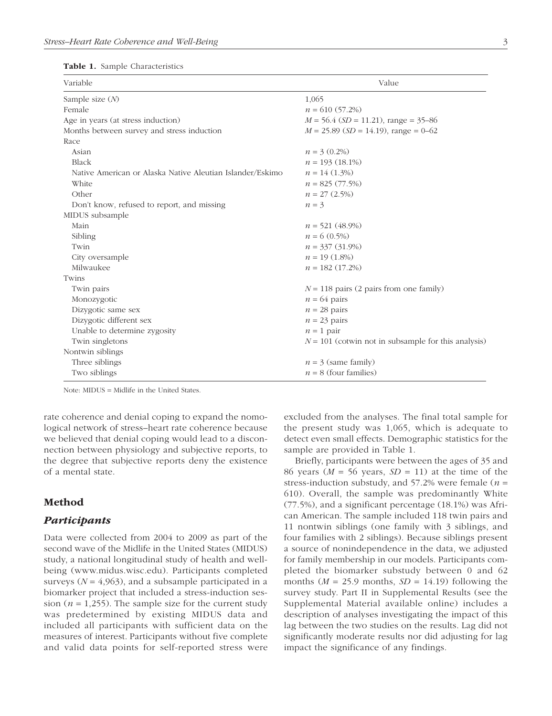|  |  |  |  | Table 1. Sample Characteristics |
|--|--|--|--|---------------------------------|
|--|--|--|--|---------------------------------|

| Variable                                                  | Value                                                 |  |  |  |
|-----------------------------------------------------------|-------------------------------------------------------|--|--|--|
| Sample size $(N)$                                         | 1,065                                                 |  |  |  |
| Female                                                    | $n = 610(57.2\%)$                                     |  |  |  |
| Age in years (at stress induction)                        | $M = 56.4$ (SD = 11.21), range = 35-86                |  |  |  |
| Months between survey and stress induction                | $M = 25.89$ ( <i>SD</i> = 14.19), range = 0–62        |  |  |  |
| Race                                                      |                                                       |  |  |  |
| Asian                                                     | $n = 3(0.2\%)$                                        |  |  |  |
| <b>Black</b>                                              | $n = 193(18.1\%)$                                     |  |  |  |
| Native American or Alaska Native Aleutian Islander/Eskimo | $n = 14$ (1.3%)                                       |  |  |  |
| White                                                     | $n = 825(77.5%)$                                      |  |  |  |
| Other                                                     | $n = 27(2.5%)$                                        |  |  |  |
| Don't know, refused to report, and missing                | $n = 3$                                               |  |  |  |
| MIDUS subsample                                           |                                                       |  |  |  |
| Main                                                      | $n = 521 (48.9\%)$                                    |  |  |  |
| Sibling                                                   | $n = 6(0.5\%)$                                        |  |  |  |
| Twin                                                      | $n = 337 (31.9\%)$                                    |  |  |  |
| City oversample                                           | $n = 19(1.8\%)$                                       |  |  |  |
| Milwaukee                                                 | $n = 182$ (17.2%)                                     |  |  |  |
| Twins                                                     |                                                       |  |  |  |
| Twin pairs                                                | $N = 118$ pairs (2 pairs from one family)             |  |  |  |
| Monozygotic                                               | $n = 64$ pairs                                        |  |  |  |
| Dizygotic same sex                                        | $n = 28$ pairs                                        |  |  |  |
| Dizygotic different sex                                   | $n = 23$ pairs                                        |  |  |  |
| Unable to determine zygosity                              | $n = 1$ pair                                          |  |  |  |
| Twin singletons                                           | $N = 101$ (cotwin not in subsample for this analysis) |  |  |  |
| Nontwin siblings                                          |                                                       |  |  |  |
| Three siblings                                            | $n = 3$ (same family)                                 |  |  |  |
| Two siblings                                              | $n = 8$ (four families)                               |  |  |  |

Note: MIDUS = Midlife in the United States.

rate coherence and denial coping to expand the nomological network of stress–heart rate coherence because we believed that denial coping would lead to a disconnection between physiology and subjective reports, to the degree that subjective reports deny the existence of a mental state.

# Method

# *Participants*

Data were collected from 2004 to 2009 as part of the second wave of the Midlife in the United States (MIDUS) study, a national longitudinal study of health and wellbeing ([www.midus.wisc.edu\)](www.midus.wisc.edu). Participants completed surveys ( $N = 4,963$ ), and a subsample participated in a biomarker project that included a stress-induction session ( $n = 1,255$ ). The sample size for the current study was predetermined by existing MIDUS data and included all participants with sufficient data on the measures of interest. Participants without five complete and valid data points for self-reported stress were excluded from the analyses. The final total sample for the present study was 1,065, which is adequate to detect even small effects. Demographic statistics for the sample are provided in Table 1.

Briefly, participants were between the ages of 35 and 86 years  $(M = 56$  years,  $SD = 11$ ) at the time of the stress-induction substudy, and 57.2% were female (*n* = 610). Overall, the sample was predominantly White (77.5%), and a significant percentage (18.1%) was African American. The sample included 118 twin pairs and 11 nontwin siblings (one family with 3 siblings, and four families with 2 siblings). Because siblings present a source of nonindependence in the data, we adjusted for family membership in our models. Participants completed the biomarker substudy between 0 and 62 months ( $M = 25.9$  months,  $SD = 14.19$ ) following the survey study. Part II in [Supplemental Results](https://journals.sagepub.com/doi/suppl/10.1177/0956797619849555) (see the [Supplemental Material](https://journals.sagepub.com/doi/suppl/10.1177/0956797619849555) available online) includes a description of analyses investigating the impact of this lag between the two studies on the results. Lag did not significantly moderate results nor did adjusting for lag impact the significance of any findings.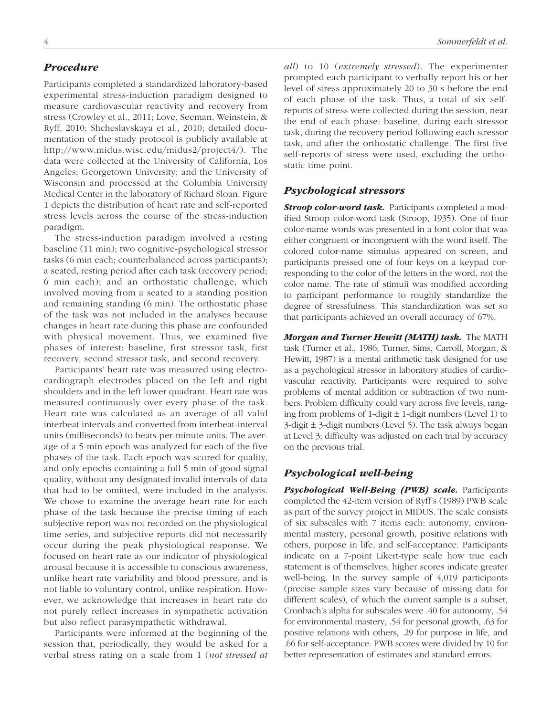# *Procedure*

Participants completed a standardized laboratory-based experimental stress-induction paradigm designed to measure cardiovascular reactivity and recovery from stress (Crowley et al., 2011; Love, Seeman, Weinstein, & Ryff, 2010; Shcheslavskaya et al., 2010; detailed documentation of the study protocol is publicly available at http://[www.midus.wisc.edu/](www.midus.wisc.edu)midus2/project4/). The data were collected at the University of California, Los Angeles; Georgetown University; and the University of Wisconsin and processed at the Columbia University Medical Center in the laboratory of Richard Sloan. Figure 1 depicts the distribution of heart rate and self-reported stress levels across the course of the stress-induction paradigm.

The stress-induction paradigm involved a resting baseline (11 min); two cognitive-psychological stressor tasks (6 min each; counterbalanced across participants); a seated, resting period after each task (recovery period; 6 min each); and an orthostatic challenge, which involved moving from a seated to a standing position and remaining standing (6 min). The orthostatic phase of the task was not included in the analyses because changes in heart rate during this phase are confounded with physical movement. Thus, we examined five phases of interest: baseline, first stressor task, first recovery, second stressor task, and second recovery.

Participants' heart rate was measured using electrocardiograph electrodes placed on the left and right shoulders and in the left lower quadrant. Heart rate was measured continuously over every phase of the task. Heart rate was calculated as an average of all valid interbeat intervals and converted from interbeat-interval units (milliseconds) to beats-per-minute units. The average of a 5-min epoch was analyzed for each of the five phases of the task. Each epoch was scored for quality, and only epochs containing a full 5 min of good signal quality, without any designated invalid intervals of data that had to be omitted, were included in the analysis. We chose to examine the average heart rate for each phase of the task because the precise timing of each subjective report was not recorded on the physiological time series, and subjective reports did not necessarily occur during the peak physiological response. We focused on heart rate as our indicator of physiological arousal because it is accessible to conscious awareness, unlike heart rate variability and blood pressure, and is not liable to voluntary control, unlike respiration. However, we acknowledge that increases in heart rate do not purely reflect increases in sympathetic activation but also reflect parasympathetic withdrawal.

Participants were informed at the beginning of the session that, periodically, they would be asked for a verbal stress rating on a scale from 1 (*not stressed at*  *all*) to 10 (*extremely stressed*). The experimenter prompted each participant to verbally report his or her level of stress approximately 20 to 30 s before the end of each phase of the task. Thus, a total of six selfreports of stress were collected during the session, near the end of each phase: baseline, during each stressor task, during the recovery period following each stressor task, and after the orthostatic challenge. The first five self-reports of stress were used, excluding the orthostatic time point.

# *Psychological stressors*

**Stroop color-word task.** Participants completed a modified Stroop color-word task (Stroop, 1935). One of four color-name words was presented in a font color that was either congruent or incongruent with the word itself. The colored color-name stimulus appeared on screen, and participants pressed one of four keys on a keypad corresponding to the color of the letters in the word, not the color name. The rate of stimuli was modified according to participant performance to roughly standardize the degree of stressfulness. This standardization was set so that participants achieved an overall accuracy of 67%.

*Morgan and Turner Hewitt (MATH) task.* The MATH task (Turner et al., 1986; Turner, Sims, Carroll, Morgan, & Hewitt, 1987) is a mental arithmetic task designed for use as a psychological stressor in laboratory studies of cardiovascular reactivity. Participants were required to solve problems of mental addition or subtraction of two numbers. Problem difficulty could vary across five levels, ranging from problems of 1-digit  $\pm$  1-digit numbers (Level 1) to  $3$ -digit  $\pm$  3-digit numbers (Level 5). The task always began at Level 3; difficulty was adjusted on each trial by accuracy on the previous trial.

# *Psychological well-being*

*Psychological Well-Being (PWB) scale.* Participants completed the 42-item version of Ryff's (1989) PWB scale as part of the survey project in MIDUS. The scale consists of six subscales with 7 items each: autonomy, environmental mastery, personal growth, positive relations with others, purpose in life, and self-acceptance. Participants indicate on a 7-point Likert-type scale how true each statement is of themselves; higher scores indicate greater well-being. In the survey sample of 4,019 participants (precise sample sizes vary because of missing data for different scales), of which the current sample is a subset, Cronbach's alpha for subscales were .40 for autonomy, .54 for environmental mastery, .54 for personal growth, .63 for positive relations with others, .29 for purpose in life, and .66 for self-acceptance. PWB scores were divided by 10 for better representation of estimates and standard errors.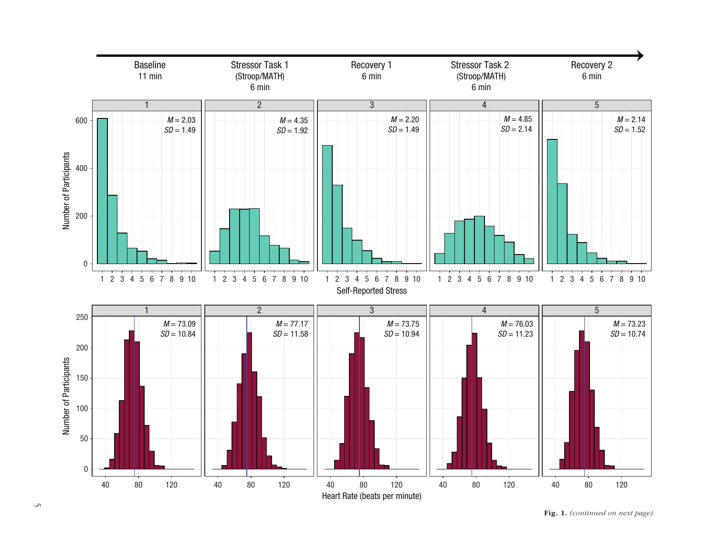

Fig. 1. *(continued on next page)*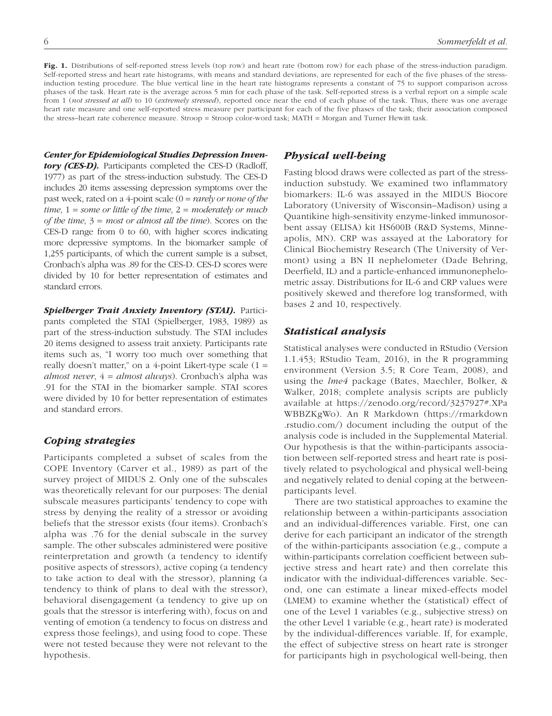Fig. 1. Distributions of self-reported stress levels (top row) and heart rate (bottom row) for each phase of the stress-induction paradigm. Self-reported stress and heart rate histograms, with means and standard deviations, are represented for each of the five phases of the stressinduction testing procedure. The blue vertical line in the heart rate histograms represents a constant of 75 to support comparison across phases of the task. Heart rate is the average across 5 min for each phase of the task. Self-reported stress is a verbal report on a simple scale from 1 (*not stressed at all*) to 10 (*extremely stressed*), reported once near the end of each phase of the task. Thus, there was one average heart rate measure and one self-reported stress measure per participant for each of the five phases of the task; their association composed the stress–heart rate coherence measure. Stroop = Stroop color-word task; MATH = Morgan and Turner Hewitt task.

*Center for Epidemiological Studies Depression Inventory (CES-D).* Participants completed the CES-D (Radloff, 1977) as part of the stress-induction substudy. The CES-D includes 20 items assessing depression symptoms over the past week, rated on a 4-point scale (0 = *rarely or none of the time*, 1 = *some or little of the time*, 2 = *moderately or much of the time*, 3 = *most or almost all the time*). Scores on the CES-D range from 0 to 60, with higher scores indicating more depressive symptoms. In the biomarker sample of 1,255 participants, of which the current sample is a subset, Cronbach's alpha was .89 for the CES-D. CES-D scores were divided by 10 for better representation of estimates and standard errors.

*Spielberger Trait Anxiety Inventory (STAI).* Participants completed the STAI (Spielberger, 1983, 1989) as part of the stress-induction substudy. The STAI includes 20 items designed to assess trait anxiety. Participants rate items such as, "I worry too much over something that really doesn't matter," on a 4-point Likert-type scale  $(1 =$ *almost never*, 4 = *almost always*). Cronbach's alpha was .91 for the STAI in the biomarker sample. STAI scores were divided by 10 for better representation of estimates and standard errors.

#### *Coping strategies*

Participants completed a subset of scales from the COPE Inventory (Carver et al., 1989) as part of the survey project of MIDUS 2. Only one of the subscales was theoretically relevant for our purposes: The denial subscale measures participants' tendency to cope with stress by denying the reality of a stressor or avoiding beliefs that the stressor exists (four items). Cronbach's alpha was .76 for the denial subscale in the survey sample. The other subscales administered were positive reinterpretation and growth (a tendency to identify positive aspects of stressors), active coping (a tendency to take action to deal with the stressor), planning (a tendency to think of plans to deal with the stressor), behavioral disengagement (a tendency to give up on goals that the stressor is interfering with), focus on and venting of emotion (a tendency to focus on distress and express those feelings), and using food to cope. These were not tested because they were not relevant to the hypothesis.

# *Physical well-being*

Fasting blood draws were collected as part of the stressinduction substudy. We examined two inflammatory biomarkers: IL-6 was assayed in the MIDUS Biocore Laboratory (University of Wisconsin–Madison) using a Quantikine high-sensitivity enzyme-linked immunosorbent assay (ELISA) kit HS600B (R&D Systems, Minneapolis, MN). CRP was assayed at the Laboratory for Clinical Biochemistry Research (The University of Vermont) using a BN II nephelometer (Dade Behring, Deerfield, IL) and a particle-enhanced immunonephelometric assay. Distributions for IL-6 and CRP values were positively skewed and therefore log transformed, with bases 2 and 10, respectively.

#### *Statistical analysis*

Statistical analyses were conducted in RStudio (Version 1.1.453; RStudio Team, 2016), in the R programming environment (Version 3.5; R Core Team, 2008), and using the *lme4* package (Bates, Maechler, Bolker, & Walker, 2018; complete analysis scripts are publicly available at [https://zenodo.org/record/3237927#.XPa](https://zenodo.org/record/3237927#.XPaWBBZKgWo) [WBBZKgWo](https://zenodo.org/record/3237927#.XPaWBBZKgWo)). An R Markdown [\(https://rmarkdown](https://rmarkdown.rstudio.com/) [.rstudio.com/\)](https://rmarkdown.rstudio.com/) document including the output of the analysis code is included in the [Supplemental Material](https://journals.sagepub.com/doi/suppl/10.1177/0956797619849555). Our hypothesis is that the within-participants association between self-reported stress and heart rate is positively related to psychological and physical well-being and negatively related to denial coping at the betweenparticipants level.

There are two statistical approaches to examine the relationship between a within-participants association and an individual-differences variable. First, one can derive for each participant an indicator of the strength of the within-participants association (e.g., compute a within-participants correlation coefficient between subjective stress and heart rate) and then correlate this indicator with the individual-differences variable. Second, one can estimate a linear mixed-effects model (LMEM) to examine whether the (statistical) effect of one of the Level 1 variables (e.g., subjective stress) on the other Level 1 variable (e.g., heart rate) is moderated by the individual-differences variable. If, for example, the effect of subjective stress on heart rate is stronger for participants high in psychological well-being, then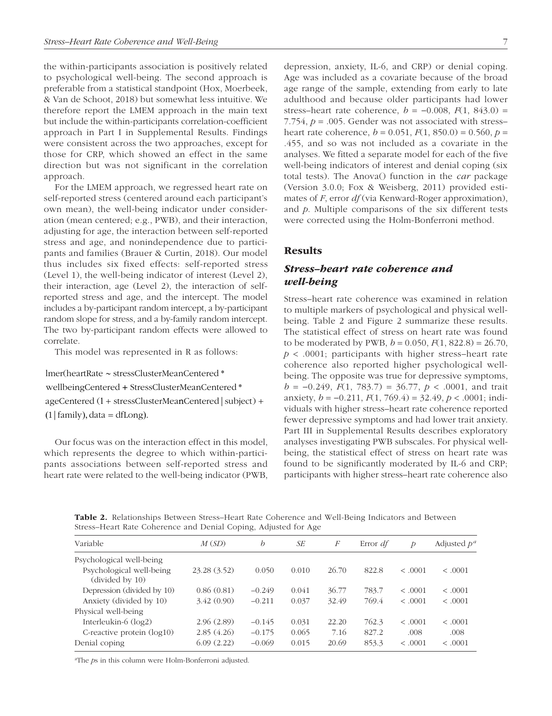the within-participants association is positively related to psychological well-being. The second approach is preferable from a statistical standpoint (Hox, Moerbeek, & Van de Schoot, 2018) but somewhat less intuitive. We therefore report the LMEM approach in the main text but include the within-participants correlation-coefficient approach in Part I in [Supplemental Results](https://journals.sagepub.com/doi/suppl/10.1177/0956797619849555). Findings were consistent across the two approaches, except for those for CRP, which showed an effect in the same direction but was not significant in the correlation approach.

For the LMEM approach, we regressed heart rate on self-reported stress (centered around each participant's own mean), the well-being indicator under consideration (mean centered; e.g., PWB), and their interaction, adjusting for age, the interaction between self-reported stress and age, and nonindependence due to participants and families (Brauer & Curtin, 2018). Our model thus includes six fixed effects: self-reported stress (Level 1), the well-being indicator of interest (Level 2), their interaction, age (Level 2), the interaction of selfreported stress and age, and the intercept. The model includes a by-participant random intercept, a by-participant random slope for stress, and a by-family random intercept. The two by-participant random effects were allowed to correlate.

This model was represented in R as follows:

lmer(heartRate ~ stressClusterMeanCentered \* wellbeingCentered + StressClusterMeanCentered \* ageCentered (1 + stressClusterMeanCentered | subject) +  $(1 | family)$ , data = dfLong).

Our focus was on the interaction effect in this model, which represents the degree to which within-participants associations between self-reported stress and heart rate were related to the well-being indicator (PWB, depression, anxiety, IL-6, and CRP) or denial coping. Age was included as a covariate because of the broad age range of the sample, extending from early to late adulthood and because older participants had lower stress–heart rate coherence,  $b = -0.008$ ,  $F(1, 843.0) =$ 7.754, *p* = .005. Gender was not associated with stress– heart rate coherence,  $b = 0.051$ ,  $F(1, 850.0) = 0.560$ ,  $p =$ .455, and so was not included as a covariate in the analyses. We fitted a separate model for each of the five well-being indicators of interest and denial coping (six total tests). The Anova() function in the *car* package (Version 3.0.0; Fox & Weisberg, 2011) provided estimates of *F*, error *df* (via Kenward-Roger approximation), and *p*. Multiple comparisons of the six different tests were corrected using the Holm-Bonferroni method.

# **Results**

# *Stress–heart rate coherence and well-being*

Stress–heart rate coherence was examined in relation to multiple markers of psychological and physical wellbeing. Table 2 and Figure 2 summarize these results. The statistical effect of stress on heart rate was found to be moderated by PWB, *b* = 0.050, *F*(1, 822.8) = 26.70, *p* < .0001; participants with higher stress–heart rate coherence also reported higher psychological wellbeing. The opposite was true for depressive symptoms, *b* = −0.249, *F*(1, 783.7) = 36.77, *p* < .0001, and trait anxiety, *b* = −0.211, *F*(1, 769.4) = 32.49, *p* < .0001; individuals with higher stress–heart rate coherence reported fewer depressive symptoms and had lower trait anxiety. Part III in [Supplemental Results](https://journals.sagepub.com/doi/suppl/10.1177/0956797619849555) describes exploratory analyses investigating PWB subscales. For physical wellbeing, the statistical effect of stress on heart rate was found to be significantly moderated by IL-6 and CRP; participants with higher stress–heart rate coherence also

Table 2. Relationships Between Stress-Heart Rate Coherence and Well-Being Indicators and Between Stress–Heart Rate Coherence and Denial Coping, Adjusted for Age

| Variable                                    | M(SD)        | $\boldsymbol{b}$ | SE    | F     | Error df | Þ       | Adjusted $p^a$ |  |
|---------------------------------------------|--------------|------------------|-------|-------|----------|---------|----------------|--|
| Psychological well-being                    |              |                  |       |       |          |         |                |  |
| Psychological well-being<br>(divided by 10) | 23.28 (3.52) | 0.050            | 0.010 | 26.70 | 822.8    | < .0001 | < .0001        |  |
| Depression (divided by 10)                  | 0.86(0.81)   | $-0.249$         | 0.041 | 36.77 | 783.7    | < .0001 | < .0001        |  |
| Anxiety (divided by 10)                     | 3.42(0.90)   | $-0.211$         | 0.037 | 32.49 | 769.4    | < .0001 | < .0001        |  |
| Physical well-being                         |              |                  |       |       |          |         |                |  |
| Interleukin- $6$ ( $log2$ )                 | 2.96(2.89)   | $-0.145$         | 0.031 | 22.20 | 762.3    | < .0001 | < .0001        |  |
| C-reactive protein (log10)                  | 2.85(4.26)   | $-0.175$         | 0.065 | 7.16  | 827.2    | .008    | .008           |  |
| Denial coping                               | 6.09(2.22)   | $-0.069$         | 0.015 | 20.69 | 853.3    | < .0001 | < .0001        |  |

a The *p*s in this column were Holm-Bonferroni adjusted.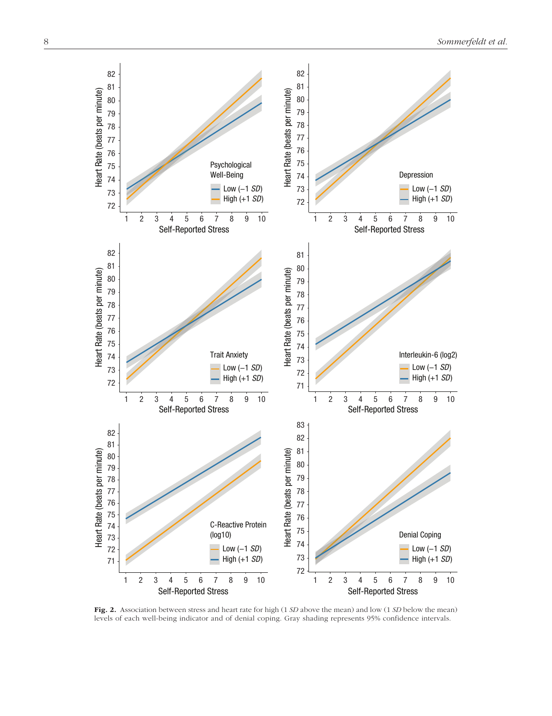

Fig. 2. Association between stress and heart rate for high (1 *SD* above the mean) and low (1 *SD* below the mean) levels of each well-being indicator and of denial coping. Gray shading represents 95% confidence intervals.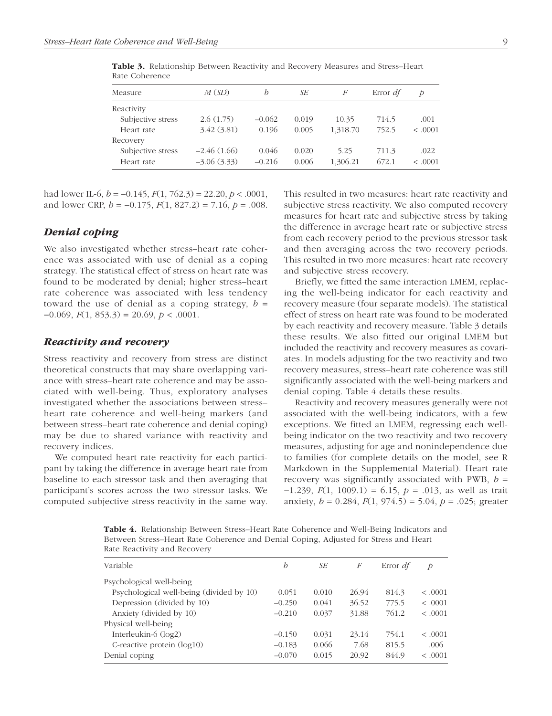| Measure           | M(SD)         | h        | SЕ    | F        | Error $df$ | Þ       |
|-------------------|---------------|----------|-------|----------|------------|---------|
| Reactivity        |               |          |       |          |            |         |
| Subjective stress | 2.6(1.75)     | $-0.062$ | 0.019 | 10.35    | 714.5      | .001    |
| Heart rate        | 3.42(3.81)    | 0.196    | 0.005 | 1,318.70 | 752.5      | < .0001 |
| Recovery          |               |          |       |          |            |         |
| Subjective stress | $-2.46(1.66)$ | 0.046    | 0.020 | 5.25     | 711.3      | .022    |
| Heart rate        | $-3.06(3.33)$ | $-0.216$ | 0.006 | 1,306.21 | 672.1      | < .0001 |

Table 3. Relationship Between Reactivity and Recovery Measures and Stress–Heart Rate Coherence

had lower IL-6, *b* = −0.145, *F*(1, 762.3) = 22.20, *p* < .0001, and lower CRP, *b* = −0.175, *F*(1, 827.2) = 7.16, *p* = .008.

# *Denial coping*

We also investigated whether stress–heart rate coherence was associated with use of denial as a coping strategy. The statistical effect of stress on heart rate was found to be moderated by denial; higher stress–heart rate coherence was associated with less tendency toward the use of denial as a coping strategy,  $b =$ −0.069, *F*(1, 853.3) = 20.69, *p* < .0001.

#### *Reactivity and recovery*

Stress reactivity and recovery from stress are distinct theoretical constructs that may share overlapping variance with stress–heart rate coherence and may be associated with well-being. Thus, exploratory analyses investigated whether the associations between stress– heart rate coherence and well-being markers (and between stress–heart rate coherence and denial coping) may be due to shared variance with reactivity and recovery indices.

We computed heart rate reactivity for each participant by taking the difference in average heart rate from baseline to each stressor task and then averaging that participant's scores across the two stressor tasks. We computed subjective stress reactivity in the same way. This resulted in two measures: heart rate reactivity and subjective stress reactivity. We also computed recovery measures for heart rate and subjective stress by taking the difference in average heart rate or subjective stress from each recovery period to the previous stressor task and then averaging across the two recovery periods. This resulted in two more measures: heart rate recovery and subjective stress recovery.

Briefly, we fitted the same interaction LMEM, replacing the well-being indicator for each reactivity and recovery measure (four separate models). The statistical effect of stress on heart rate was found to be moderated by each reactivity and recovery measure. Table 3 details these results. We also fitted our original LMEM but included the reactivity and recovery measures as covariates. In models adjusting for the two reactivity and two recovery measures, stress–heart rate coherence was still significantly associated with the well-being markers and denial coping. Table 4 details these results.

Reactivity and recovery measures generally were not associated with the well-being indicators, with a few exceptions. We fitted an LMEM, regressing each wellbeing indicator on the two reactivity and two recovery measures, adjusting for age and nonindependence due to families (for complete details on the model, see R Markdown in the [Supplemental Material](https://journals.sagepub.com/doi/suppl/10.1177/0956797619849555)). Heart rate recovery was significantly associated with PWB,  $b =$ −1.239, *F*(1, 1009.1) = 6.15, *p* = .013, as well as trait anxiety,  $b = 0.284$ ,  $F(1, 974.5) = 5.04$ ,  $p = .025$ ; greater

Table 4. Relationship Between Stress–Heart Rate Coherence and Well-Being Indicators and Between Stress–Heart Rate Coherence and Denial Coping, Adjusted for Stress and Heart Rate Reactivity and Recovery

| Variable                                 | $\boldsymbol{b}$ | SE    | F     | Error df | p       |
|------------------------------------------|------------------|-------|-------|----------|---------|
| Psychological well-being                 |                  |       |       |          |         |
| Psychological well-being (divided by 10) | 0.051            | 0.010 | 26.94 | 814.3    | < .0001 |
| Depression (divided by 10)               | $-0.250$         | 0.041 | 36.52 | 775.5    | < .0001 |
| Anxiety (divided by 10)                  | $-0.210$         | 0.037 | 31.88 | 761.2    | < .0001 |
| Physical well-being                      |                  |       |       |          |         |
| Interleukin-6 (log2)                     | $-0.150$         | 0.031 | 23.14 | 754.1    | < .0001 |
| C-reactive protein (log10)               | $-0.183$         | 0.066 | 7.68  | 815.5    | .006    |
| Denial coping                            | $-0.070$         | 0.015 | 20.92 | 844.9    | < .0001 |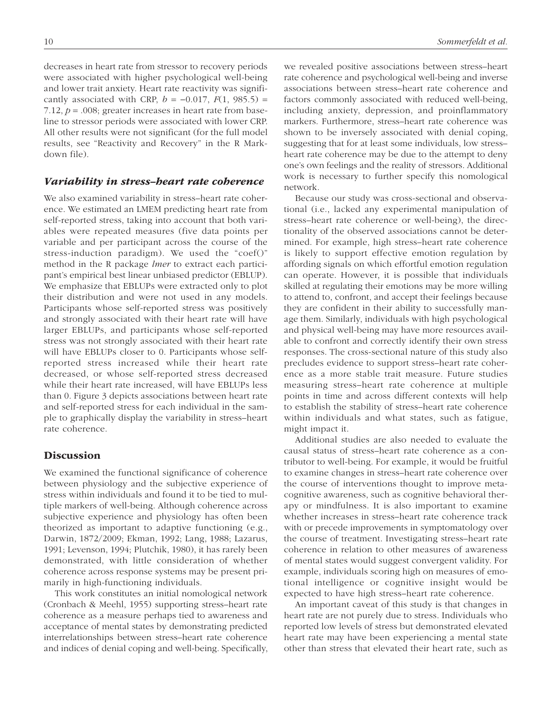decreases in heart rate from stressor to recovery periods were associated with higher psychological well-being and lower trait anxiety. Heart rate reactivity was significantly associated with CRP,  $b = -0.017$ ,  $F(1, 985.5) =$ 7.12,  $p = 0.008$ ; greater increases in heart rate from baseline to stressor periods were associated with lower CRP. All other results were not significant (for the full model results, see "Reactivity and Recovery" in the R Markdown file).

#### *Variability in stress–heart rate coherence*

We also examined variability in stress–heart rate coherence. We estimated an LMEM predicting heart rate from self-reported stress, taking into account that both variables were repeated measures (five data points per variable and per participant across the course of the stress-induction paradigm). We used the "coef()" method in the R package *lmer* to extract each participant's empirical best linear unbiased predictor (EBLUP). We emphasize that EBLUPs were extracted only to plot their distribution and were not used in any models. Participants whose self-reported stress was positively and strongly associated with their heart rate will have larger EBLUPs, and participants whose self-reported stress was not strongly associated with their heart rate will have EBLUPs closer to 0. Participants whose selfreported stress increased while their heart rate decreased, or whose self-reported stress decreased while their heart rate increased, will have EBLUPs less than 0. Figure 3 depicts associations between heart rate and self-reported stress for each individual in the sample to graphically display the variability in stress–heart rate coherence.

#### **Discussion**

We examined the functional significance of coherence between physiology and the subjective experience of stress within individuals and found it to be tied to multiple markers of well-being. Although coherence across subjective experience and physiology has often been theorized as important to adaptive functioning (e.g., Darwin, 1872/2009; Ekman, 1992; Lang, 1988; Lazarus, 1991; Levenson, 1994; Plutchik, 1980), it has rarely been demonstrated, with little consideration of whether coherence across response systems may be present primarily in high-functioning individuals.

This work constitutes an initial nomological network (Cronbach & Meehl, 1955) supporting stress–heart rate coherence as a measure perhaps tied to awareness and acceptance of mental states by demonstrating predicted interrelationships between stress–heart rate coherence and indices of denial coping and well-being. Specifically, we revealed positive associations between stress–heart rate coherence and psychological well-being and inverse associations between stress–heart rate coherence and factors commonly associated with reduced well-being, including anxiety, depression, and proinflammatory markers. Furthermore, stress–heart rate coherence was shown to be inversely associated with denial coping, suggesting that for at least some individuals, low stress– heart rate coherence may be due to the attempt to deny one's own feelings and the reality of stressors. Additional work is necessary to further specify this nomological network.

Because our study was cross-sectional and observational (i.e., lacked any experimental manipulation of stress–heart rate coherence or well-being), the directionality of the observed associations cannot be determined. For example, high stress–heart rate coherence is likely to support effective emotion regulation by affording signals on which effortful emotion regulation can operate. However, it is possible that individuals skilled at regulating their emotions may be more willing to attend to, confront, and accept their feelings because they are confident in their ability to successfully manage them. Similarly, individuals with high psychological and physical well-being may have more resources available to confront and correctly identify their own stress responses. The cross-sectional nature of this study also precludes evidence to support stress–heart rate coherence as a more stable trait measure. Future studies measuring stress–heart rate coherence at multiple points in time and across different contexts will help to establish the stability of stress–heart rate coherence within individuals and what states, such as fatigue, might impact it.

Additional studies are also needed to evaluate the causal status of stress–heart rate coherence as a contributor to well-being. For example, it would be fruitful to examine changes in stress–heart rate coherence over the course of interventions thought to improve metacognitive awareness, such as cognitive behavioral therapy or mindfulness. It is also important to examine whether increases in stress–heart rate coherence track with or precede improvements in symptomatology over the course of treatment. Investigating stress–heart rate coherence in relation to other measures of awareness of mental states would suggest convergent validity. For example, individuals scoring high on measures of emotional intelligence or cognitive insight would be expected to have high stress–heart rate coherence.

An important caveat of this study is that changes in heart rate are not purely due to stress. Individuals who reported low levels of stress but demonstrated elevated heart rate may have been experiencing a mental state other than stress that elevated their heart rate, such as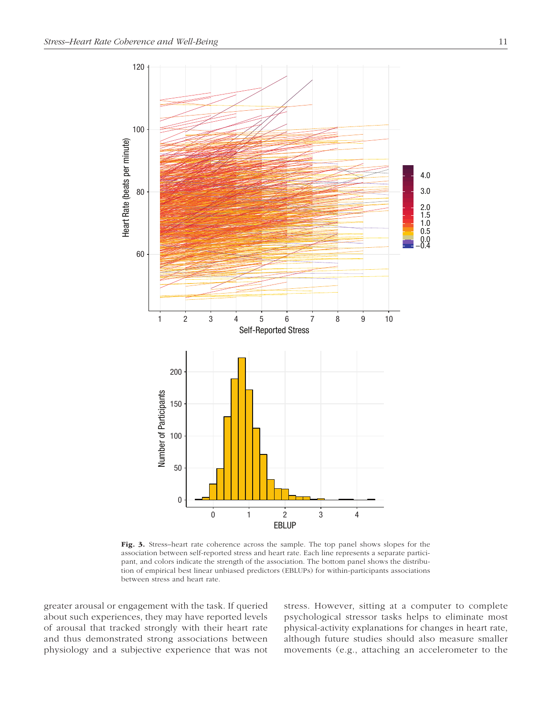

Fig. 3. Stress–heart rate coherence across the sample. The top panel shows slopes for the association between self-reported stress and heart rate. Each line represents a separate participant, and colors indicate the strength of the association. The bottom panel shows the distribution of empirical best linear unbiased predictors (EBLUPs) for within-participants associations between stress and heart rate.

greater arousal or engagement with the task. If queried about such experiences, they may have reported levels of arousal that tracked strongly with their heart rate and thus demonstrated strong associations between physiology and a subjective experience that was not stress. However, sitting at a computer to complete psychological stressor tasks helps to eliminate most physical-activity explanations for changes in heart rate, although future studies should also measure smaller movements (e.g., attaching an accelerometer to the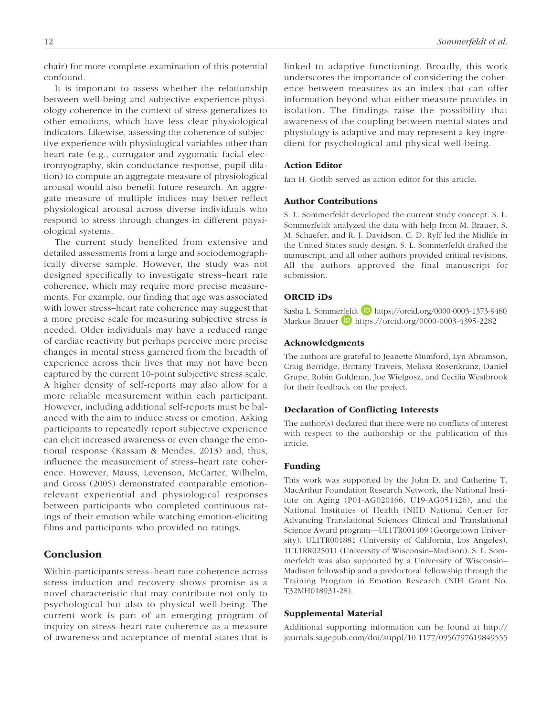chair) for more complete examination of this potential confound.

It is important to assess whether the relationship between well-being and subjective experience-physiology coherence in the context of stress generalizes to other emotions, which have less clear physiological indicators. Likewise, assessing the coherence of subjective experience with physiological variables other than heart rate (e.g., corrugator and zygomatic facial electromyography, skin conductance response, pupil dilation) to compute an aggregate measure of physiological arousal would also benefit future research. An aggregate measure of multiple indices may better reflect physiological arousal across diverse individuals who respond to stress through changes in different physiological systems.

The current study benefited from extensive and detailed assessments from a large and sociodemographically diverse sample. However, the study was not designed specifically to investigate stress–heart rate coherence, which may require more precise measurements. For example, our finding that age was associated with lower stress–heart rate coherence may suggest that a more precise scale for measuring subjective stress is needed. Older individuals may have a reduced range of cardiac reactivity but perhaps perceive more precise changes in mental stress garnered from the breadth of experience across their lives that may not have been captured by the current 10-point subjective stress scale. A higher density of self-reports may also allow for a more reliable measurement within each participant. However, including additional self-reports must be balanced with the aim to induce stress or emotion. Asking participants to repeatedly report subjective experience can elicit increased awareness or even change the emotional response (Kassam & Mendes, 2013) and, thus, influence the measurement of stress–heart rate coherence. However, Mauss, Levenson, McCarter, Wilhelm, and Gross (2005) demonstrated comparable emotionrelevant experiential and physiological responses between participants who completed continuous ratings of their emotion while watching emotion-eliciting films and participants who provided no ratings.

# Conclusion

Within-participants stress–heart rate coherence across stress induction and recovery shows promise as a novel characteristic that may contribute not only to psychological but also to physical well-being. The current work is part of an emerging program of inquiry on stress–heart rate coherence as a measure of awareness and acceptance of mental states that is

12 *Sommerfeldt et al.*

linked to adaptive functioning. Broadly, this work underscores the importance of considering the coherence between measures as an index that can offer information beyond what either measure provides in isolation. The findings raise the possibility that awareness of the coupling between mental states and physiology is adaptive and may represent a key ingredient for psychological and physical well-being.

#### Action Editor

Ian H. Gotlib served as action editor for this article.

#### Author Contributions

S. L. Sommerfeldt developed the current study concept. S. L. Sommerfeldt analyzed the data with help from M. Brauer, S. M. Schaefer, and R. J. Davidson. C. D. Ryff led the Midlife in the United States study design. S. L. Sommerfeldt drafted the manuscript, and all other authors provided critical revisions. All the authors approved the final manuscript for submission.

#### ORCID iDs

Sasha L. Sommerfeldt **D** <https://orcid.org/0000-0003-1373-9480> Markus Brauer D <https://orcid.org/0000-0003-4395-2282>

#### Acknowledgments

The authors are grateful to Jeanette Mumford, Lyn Abramson, Craig Berridge, Brittany Travers, Melissa Rosenkranz, Daniel Grupe, Robin Goldman, Joe Wielgosz, and Cecilia Westbrook for their feedback on the project.

#### Declaration of Conflicting Interests

The author(s) declared that there were no conflicts of interest with respect to the authorship or the publication of this article.

#### Funding

This work was supported by the John D. and Catherine T. MacArthur Foundation Research Network, the National Institute on Aging (P01-AG020166, U19-AG051426), and the National Institutes of Health (NIH) National Center for Advancing Translational Sciences Clinical and Translational Science Award program—UL1TR001409 (Georgetown University), UL1TR001881 (University of California, Los Angeles), 1UL1RR025011 (University of Wisconsin–Madison). S. L. Sommerfeldt was also supported by a University of Wisconsin– Madison fellowship and a predoctoral fellowship through the Training Program in Emotion Research (NIH Grant No. T32MH018931-28).

#### Supplemental Material

Additional supporting information can be found at [http://](http://journals.sagepub.com/doi/suppl/10.1177/0956797619849555) [journals.sagepub.com/doi/suppl/10.1177/0956797619849555](http://journals.sagepub.com/doi/suppl/10.1177/0956797619849555)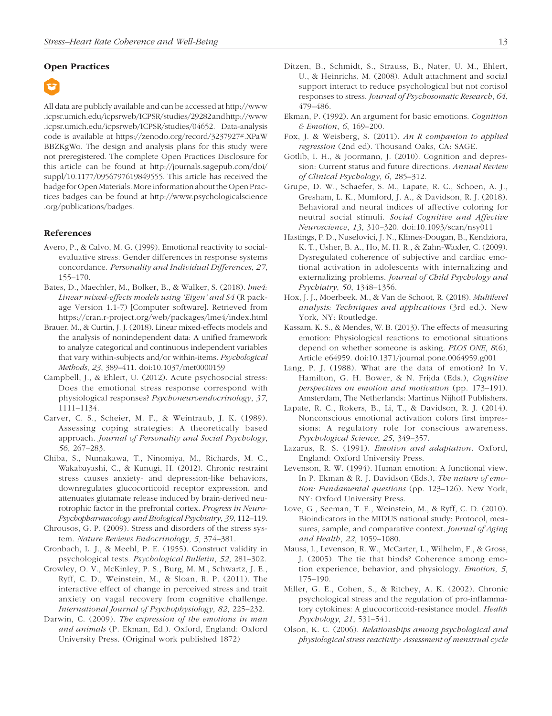#### Open Practices



All data are publicly available and can be accessed at [http://www](http://www.icpsr.umich.edu/icpsrweb/ICPSR/studies/29282) [.icpsr.umich.edu/icpsrweb/ICPSR/studies/29282](http://www.icpsr.umich.edu/icpsrweb/ICPSR/studies/29282) and [http://www](http://www.icpsr.umich.edu/icpsrweb/ICPSR/studies/04652) [.icpsr.umich.edu/icpsrweb/ICPSR/studies/04652.](http://www.icpsr.umich.edu/icpsrweb/ICPSR/studies/04652) Data-analysis code is available at [https://zenodo.org/record/3237927#.XPaW](https://zenodo.org/record/3237927#.XPaWBBZKgWo) [BBZKgWo](https://zenodo.org/record/3237927#.XPaWBBZKgWo). The design and analysis plans for this study were not preregistered. The complete Open Practices Disclosure for this article can be found at [http://journals.sagepub.com/doi/](http://journals.sagepub.com/doi/suppl/10.1177/0956797619849555) [suppl/10.1177/0956797619849555.](http://journals.sagepub.com/doi/suppl/10.1177/0956797619849555) This article has received the badge for Open Materials. More information about the Open Practices badges can be found at [http://www.psychologicalscience](http://www.psychologicalscience.org/publications/badges) [.org/publications/badges](http://www.psychologicalscience.org/publications/badges).

#### References

- Avero, P., & Calvo, M. G. (1999). Emotional reactivity to socialevaluative stress: Gender differences in response systems concordance. *Personality and Individual Differences*, *27*, 155–170.
- Bates, D., Maechler, M., Bolker, B., & Walker, S. (2018). *lme4: Linear mixed-effects models using 'Eigen' and S4* (R package Version 1.1-7) [Computer software]. Retrieved from <https://cran.r-project.org/web/packages/lme4/index.html>
- Brauer, M., & Curtin, J. J. (2018). Linear mixed-effects models and the analysis of nonindependent data: A unified framework to analyze categorical and continuous independent variables that vary within-subjects and/or within-items. *Psychological Methods*, *23*, 389–411. doi:10.1037/met0000159
- Campbell, J., & Ehlert, U. (2012). Acute psychosocial stress: Does the emotional stress response correspond with physiological responses? *Psychoneuroendocrinology*, *37*, 1111–1134.
- Carver, C. S., Scheier, M. F., & Weintraub, J. K. (1989). Assessing coping strategies: A theoretically based approach. *Journal of Personality and Social Psychology*, *56*, 267–283.
- Chiba, S., Numakawa, T., Ninomiya, M., Richards, M. C., Wakabayashi, C., & Kunugi, H. (2012). Chronic restraint stress causes anxiety- and depression-like behaviors, downregulates glucocorticoid receptor expression, and attenuates glutamate release induced by brain-derived neurotrophic factor in the prefrontal cortex. *Progress in Neuro-Psychopharmacology and Biological Psychiatry*, *39*, 112–119.
- Chrousos, G. P. (2009). Stress and disorders of the stress system. *Nature Reviews Endocrinology*, *5*, 374–381.
- Cronbach, L. J., & Meehl, P. E. (1955). Construct validity in psychological tests. *Psychological Bulletin*, *52*, 281–302.
- Crowley, O. V., McKinley, P. S., Burg, M. M., Schwartz, J. E., Ryff, C. D., Weinstein, M., & Sloan, R. P. (2011). The interactive effect of change in perceived stress and trait anxiety on vagal recovery from cognitive challenge. *International Journal of Psychophysiology*, *82*, 225–232.
- Darwin, C. (2009). *The expression of the emotions in man and animals* (P. Ekman, Ed.). Oxford, England: Oxford University Press. (Original work published 1872)
- Ditzen, B., Schmidt, S., Strauss, B., Nater, U. M., Ehlert, U., & Heinrichs, M. (2008). Adult attachment and social support interact to reduce psychological but not cortisol responses to stress. *Journal of Psychosomatic Research*, *64*, 479–486.
- Ekman, P. (1992). An argument for basic emotions. *Cognition & Emotion*, *6*, 169–200.
- Fox, J. & Weisberg, S. (2011). *An R companion to applied regression* (2nd ed). Thousand Oaks, CA: SAGE.
- Gotlib, I. H., & Joormann, J. (2010). Cognition and depression: Current status and future directions. *Annual Review of Clinical Psychology*, *6*, 285–312.
- Grupe, D. W., Schaefer, S. M., Lapate, R. C., Schoen, A. J., Gresham, L. K., Mumford, J. A., & Davidson, R. J. (2018). Behavioral and neural indices of affective coloring for neutral social stimuli. *Social Cognitive and Affective Neuroscience*, *13*, 310–320. doi:10.1093/scan/nsy011
- Hastings, P. D., Nuselovici, J. N., Klimes-Dougan, B., Kendziora, K. T., Usher, B. A., Ho, M. H. R., & Zahn-Waxler, C. (2009). Dysregulated coherence of subjective and cardiac emotional activation in adolescents with internalizing and externalizing problems. *Journal of Child Psychology and Psychiatry*, *50*, 1348–1356.
- Hox, J. J., Moerbeek, M., & Van de Schoot, R. (2018). *Multilevel analysis: Techniques and applications* (3rd ed.). New York, NY: Routledge.
- Kassam, K. S., & Mendes, W. B. (2013). The effects of measuring emotion: Physiological reactions to emotional situations depend on whether someone is asking. *PLOS ONE*, *8*(6), Article e64959. doi:10.1371/journal.pone.0064959.g001
- Lang, P. J. (1988). What are the data of emotion? In V. Hamilton, G. H. Bower, & N. Frijda (Eds.), *Cognitive perspectives on emotion and motivation* (pp. 173–191). Amsterdam, The Netherlands: Martinus Nijhoff Publishers.
- Lapate, R. C., Rokers, B., Li, T., & Davidson, R. J. (2014). Nonconscious emotional activation colors first impressions: A regulatory role for conscious awareness. *Psychological Science*, *25*, 349–357.
- Lazarus, R. S. (1991). *Emotion and adaptation*. Oxford, England: Oxford University Press.
- Levenson, R. W. (1994). Human emotion: A functional view. In P. Ekman & R. J. Davidson (Eds.), *The nature of emotion: Fundamental questions* (pp. 123–126). New York, NY: Oxford University Press.
- Love, G., Seeman, T. E., Weinstein, M., & Ryff, C. D. (2010). Bioindicators in the MIDUS national study: Protocol, measures, sample, and comparative context. *Journal of Aging and Health*, *22*, 1059–1080.
- Mauss, I., Levenson, R. W., McCarter, L., Wilhelm, F., & Gross, J. (2005). The tie that binds? Coherence among emotion experience, behavior, and physiology. *Emotion*, *5*, 175–190.
- Miller, G. E., Cohen, S., & Ritchey, A. K. (2002). Chronic psychological stress and the regulation of pro-inflammatory cytokines: A glucocorticoid-resistance model. *Health Psychology*, *21*, 531–541.
- Olson, K. C. (2006). *Relationships among psychological and physiological stress reactivity: Assessment of menstrual cycle*